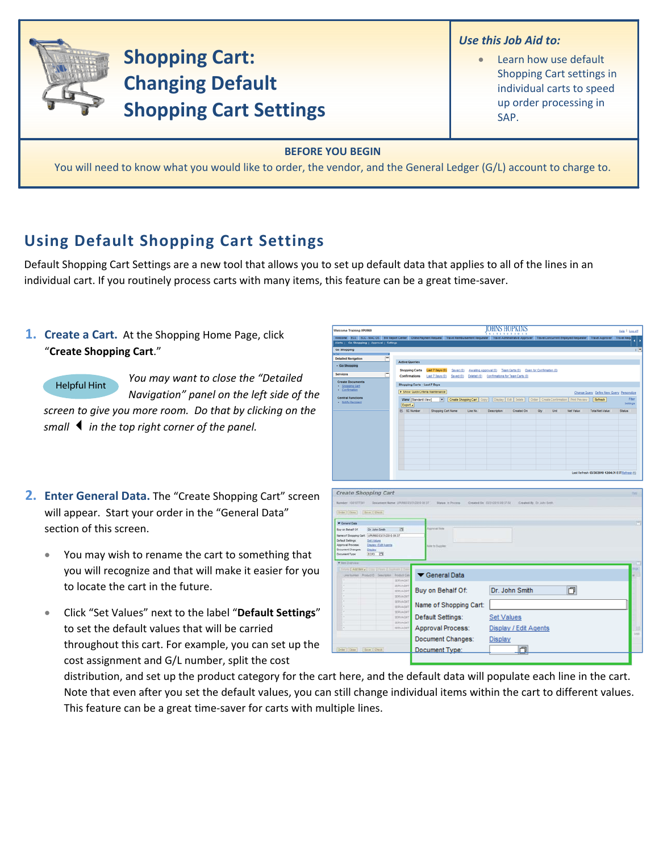

You will need to know what you would like to order, the vendor, and the General Ledger (G/L) account to charge to.

## **Using Default Shopping Cart Settings**

Default Shopping Cart Settings are a new tool that allows you to set up default data that applies to all of the lines in an individual cart. If you routinely process carts with many items, this feature can be a great time-saver.

## **1. Create a Cart.** At the Shopping Home Page, click "Create Shopping Cart."

**Helpful Hint** 

You may want to close the "Detailed Navigation" panel on the left side of the screen to give you more room. Do that by clicking on the

small  $\blacktriangleleft$  in the top right corner of the panel.

- 2. Enter General Data. The "Create Shopping Cart" screen will appear. Start your order in the "General Data" section of this screen.
	- You may wish to rename the cart to something that you will recognize and that will make it easier for you to locate the cart in the future.
	- Click "Set Values" next to the label "Default Settings" to set the default values that will be carried throughout this cart. For example, you can set up the cost assignment and G/L number, split the cost

| Welcome Training UPUR60                                                                                                                                                                                                                                                                      |                                      |                                           |                                                                                                         |          | xxxxxxxxxxxx                    | JUHNƏ HUPAINƏ         |                           |      |                  |                                                  | Help   Log.off |
|----------------------------------------------------------------------------------------------------------------------------------------------------------------------------------------------------------------------------------------------------------------------------------------------|--------------------------------------|-------------------------------------------|---------------------------------------------------------------------------------------------------------|----------|---------------------------------|-----------------------|---------------------------|------|------------------|--------------------------------------------------|----------------|
| Welcome ECC ECC - MACOS BW Report Center Online Payment Request Travel Reimbursement Requester Travel Administrative Approver Travel Concurrent Employed Requester Travel Approver Travel Approver                                                                                           |                                      |                                           |                                                                                                         |          |                                 |                       |                           |      |                  |                                                  |                |
| Alerts   Go Shopping   Approval   Settings                                                                                                                                                                                                                                                   |                                      |                                           |                                                                                                         |          |                                 |                       |                           |      |                  |                                                  |                |
| Go Shopping                                                                                                                                                                                                                                                                                  |                                      |                                           |                                                                                                         |          |                                 |                       |                           |      |                  |                                                  | 1.5            |
| <b>Detailed Navigation</b>                                                                                                                                                                                                                                                                   |                                      |                                           |                                                                                                         |          |                                 |                       |                           |      |                  |                                                  |                |
| · Go Shopping                                                                                                                                                                                                                                                                                | <b>Active Queries</b>                |                                           |                                                                                                         |          |                                 |                       |                           |      |                  |                                                  |                |
| <b>Services</b>                                                                                                                                                                                                                                                                              | <b>Shopping Carts</b>                |                                           | Last 7 Days (0) Saved (0) Awaling Approval (0) Team Carts (0) Open for Confirmation (0)                 |          |                                 |                       |                           |      |                  |                                                  |                |
|                                                                                                                                                                                                                                                                                              | Confirmations                        |                                           | Last 7 Days (0) Saved (0) Deleted (0) Confirmations for Team Carts (0)                                  |          |                                 |                       |                           |      |                  |                                                  |                |
| <b>Create Documents</b><br>- Shopping Card                                                                                                                                                                                                                                                   | <b>Shopping Carts - Last 7 Days</b>  |                                           |                                                                                                         |          |                                 |                       |                           |      |                  |                                                  |                |
| · Confirmation                                                                                                                                                                                                                                                                               | > Show Quick Criteria Maintenance    |                                           |                                                                                                         |          |                                 |                       |                           |      |                  | Change Query Define New Query Personalize        |                |
| <b>Central Functions</b>                                                                                                                                                                                                                                                                     | View [Standard View]                 |                                           | Create Shopping Cart   Copy     Display   Edit   Delete     Order   Create Confirmation   Print Preview |          |                                 |                       |                           |      |                  | Refresh                                          | Fiter          |
| · Notify Recipient                                                                                                                                                                                                                                                                           | Export a                             |                                           |                                                                                                         |          |                                 |                       |                           |      |                  |                                                  | Settings       |
|                                                                                                                                                                                                                                                                                              | <b>E</b> SC Number                   | <b>Shopping Cart Name</b>                 |                                                                                                         | Line No. | <b>Description</b>              | Created On            | Oty                       | Unit | <b>Net Value</b> | <b>Total Net Value</b>                           | <b>Status</b>  |
|                                                                                                                                                                                                                                                                                              |                                      |                                           |                                                                                                         |          |                                 |                       |                           |      |                  |                                                  |                |
|                                                                                                                                                                                                                                                                                              |                                      |                                           |                                                                                                         |          |                                 |                       |                           |      |                  |                                                  |                |
|                                                                                                                                                                                                                                                                                              |                                      |                                           |                                                                                                         |          |                                 |                       |                           |      |                  |                                                  |                |
|                                                                                                                                                                                                                                                                                              |                                      |                                           |                                                                                                         |          |                                 |                       |                           |      |                  |                                                  |                |
|                                                                                                                                                                                                                                                                                              |                                      |                                           |                                                                                                         |          |                                 |                       |                           |      |                  |                                                  |                |
|                                                                                                                                                                                                                                                                                              |                                      |                                           |                                                                                                         |          |                                 |                       |                           |      |                  |                                                  |                |
|                                                                                                                                                                                                                                                                                              |                                      |                                           |                                                                                                         |          |                                 |                       |                           |      |                  |                                                  |                |
|                                                                                                                                                                                                                                                                                              |                                      |                                           |                                                                                                         |          |                                 |                       |                           |      |                  |                                                  |                |
|                                                                                                                                                                                                                                                                                              |                                      |                                           |                                                                                                         |          |                                 |                       |                           |      |                  |                                                  |                |
|                                                                                                                                                                                                                                                                                              |                                      |                                           |                                                                                                         |          |                                 |                       |                           |      |                  | Last Refresh 03/30/2010 12:04:31 EST Refresh (0) |                |
|                                                                                                                                                                                                                                                                                              | Document Name: UPURKE ESQ10210 26 ST |                                           | <b>Status</b> in Process                                                                                |          | Created Oil 53/21/2019 19:37:58 |                       | Created By Dr. John Smith |      |                  |                                                  |                |
| <b>Create Shopping Cart</b><br>Namber 100107231<br>[Order] Close   Dave   Check<br><b>V</b> General Data<br>Buy on Behalf Of<br>Dr. John Smith<br>Name of Shopping Cart. UPURED E3/31/2010 09:37<br><b>Default Settings:</b><br><b>Set Vatura</b><br>Approval Process:<br>Depart (Lot Agents | ъ                                    | <b>Ausphania Texte</b><br>tate to Suppler |                                                                                                         |          |                                 |                       |                           |      |                  |                                                  |                |
| toro <b>17</b>                                                                                                                                                                                                                                                                               |                                      |                                           |                                                                                                         |          |                                 |                       |                           |      |                  |                                                  |                |
| Live takeer Product D Cescryme Product Cate                                                                                                                                                                                                                                                  | SERVADAT                             | General Data                              |                                                                                                         |          |                                 |                       |                           |      |                  |                                                  |                |
|                                                                                                                                                                                                                                                                                              | <b>SERVAGAYE</b>                     |                                           |                                                                                                         |          |                                 |                       |                           |      |                  |                                                  |                |
|                                                                                                                                                                                                                                                                                              | SERVADIT                             | Buy on Behalf Of:                         |                                                                                                         |          |                                 | Dr. John Smith        |                           |      | 同                |                                                  |                |
|                                                                                                                                                                                                                                                                                              | <b>SERVAGET</b>                      |                                           |                                                                                                         |          |                                 |                       |                           |      |                  |                                                  |                |
|                                                                                                                                                                                                                                                                                              | SERVAGNT                             |                                           |                                                                                                         |          |                                 |                       |                           |      |                  |                                                  |                |
| <b>Coluis   Antibox &amp; Cony   Frees   Dash</b>                                                                                                                                                                                                                                            | SERVADIT<br><b>SERVAGNT</b>          | Name of Shopping Cart:                    |                                                                                                         |          |                                 |                       |                           |      |                  |                                                  |                |
|                                                                                                                                                                                                                                                                                              | SERVADIT                             | Default Settings:                         |                                                                                                         |          |                                 |                       |                           |      |                  |                                                  |                |
|                                                                                                                                                                                                                                                                                              | <b>SERVAGNIT</b>                     |                                           |                                                                                                         |          | <b>Set Values</b>               |                       |                           |      |                  |                                                  |                |
|                                                                                                                                                                                                                                                                                              | SERVAGNT                             | <b>Approval Process:</b>                  |                                                                                                         |          |                                 | Display / Edit Agents |                           |      |                  |                                                  |                |
| Document Changes: City/Ity<br>Document Type:<br>* for Dymesi                                                                                                                                                                                                                                 |                                      |                                           |                                                                                                         |          |                                 |                       |                           |      |                  |                                                  | Time of        |
|                                                                                                                                                                                                                                                                                              |                                      | Document Changes:                         |                                                                                                         |          | Display                         |                       |                           |      |                  |                                                  |                |
| Order   Coos     Save   Own                                                                                                                                                                                                                                                                  |                                      | Document Type:                            |                                                                                                         |          |                                 | 巾                     |                           |      |                  |                                                  |                |

distribution, and set up the product category for the cart here, and the default data will populate each line in the cart. Note that even after you set the default values, you can still change individual items within the cart to different values. This feature can be a great time-saver for carts with multiple lines.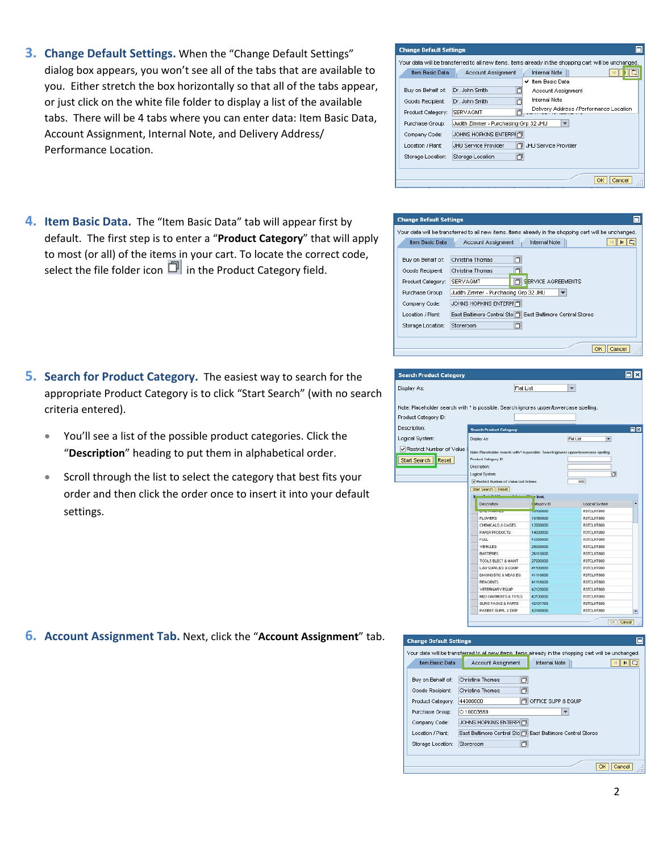- **3. Change Default Settings.** When the "Change Default Settings" dialog box appears, you won't see all of the tabs that are available to you. Either stretch the box horizontally so that all of the tabs appear, or just click on the white file folder to display a list of the available tabs. There will be 4 tabs where you can enter data: Item Basic Data, Account Assignment, Internal Note, and Delivery Address/ Performance Location.
- 4. Item Basic Data. The "Item Basic Data" tab will appear first by default. The first step is to enter a "Product Category" that will apply to most (or all) of the items in your cart. To locate the correct code, select the file folder icon  $\Box$  in the Product Category field.

- 5. Search for Product Category. The easiest way to search for the appropriate Product Category is to click "Start Search" (with no search criteria entered).
	- You'll see a list of the possible product categories. Click the "Description" heading to put them in alphabetical order.
	- Scroll through the list to select the category that best fits your order and then click the order once to insert it into your default settings.

**6.** Account Assignment Tab. Next, click the "Account Assignment" tab.

## **Change Default Settings** .<br>Your data will be transferred to all new items, items already in the shopping cart will be unchanged. Item Basic Data | Account Assignment | Internal Note || **MDIS** ✔ Item Basic Data 靣 Buy on Behalf of: Dr. John Smith Account Assignment Internal Note Goods Recipient: Dr. John Smith **D** Delivery Address / Performance Location Product Category: SERVAGMT b. Purchase Group: Judith Zimmer - Purchasing Grp 32 JHU  $\overline{\phantom{a}}$ Company Code: JOHNS HOPKINS ENTERPIO Location / Plant: JHU Service Provider J JHU Service Provider Storage Location: Storage Location 回 OK Cancel





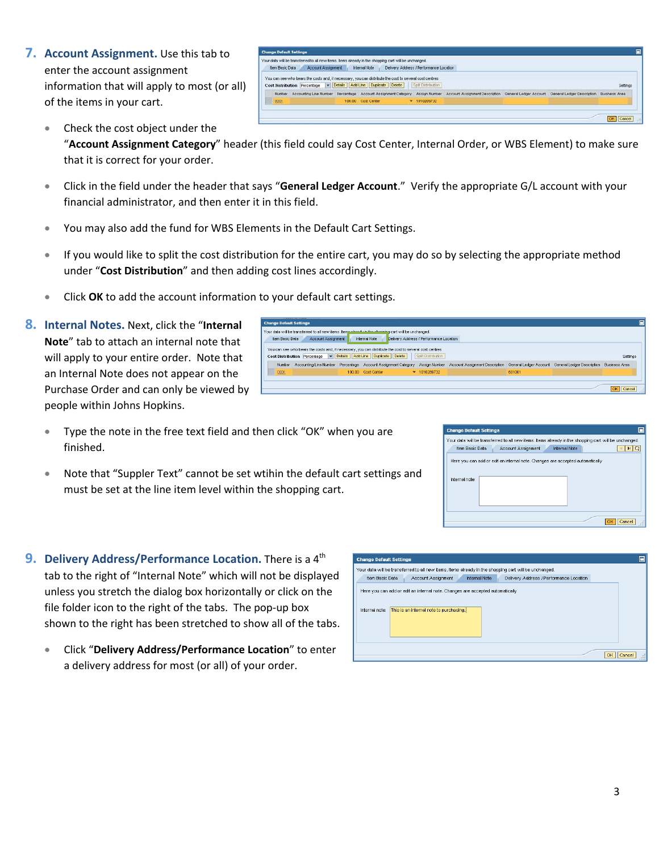**7. Account Assignment.** Use this tab to enter the account assignment information that will apply to most (or all) of the items in your cart.

|                        | <b>Change Default Settings</b> |                                                                                                                                                                            |                                         |                                                                                                |  | $\square$ |
|------------------------|--------------------------------|----------------------------------------------------------------------------------------------------------------------------------------------------------------------------|-----------------------------------------|------------------------------------------------------------------------------------------------|--|-----------|
| <b>Item Basic Data</b> | <b>Account Assignment</b>      | Your data will be transferred to all new fems, items already in the shopping cart will be unchanged.<br>Internal Note                                                      | Delivery Address / Performance Location |                                                                                                |  |           |
|                        |                                | You can see who bears the costs and, if necessary, you can distribute the cost to several cost centres<br>Cost Distribution Percentage v Details Add Line Duplicate Delete | Spit Dintribution                       |                                                                                                |  | Settings  |
| Number                 | Accounting Line Number         | Percentage Account Assignment Category                                                                                                                                     | Assign Number                           | Account Assignment Description General Ledger Account General Ledger Description Business Area |  |           |
| 0001                   |                                | 100.00 Cost Center                                                                                                                                                         | $\times$ 1010289732                     |                                                                                                |  |           |

**Change Default Settings** S

Experiment and the state of the state of the control of the control of the state of the state of the state of the settings of the settings of the settings of the settings of the settings of the settings of the settings of

• Check the cost object under the

"**Account Assignment Category**" header (this field could say Cost Center, Internal Order, or WBS Element) to make sure that it is correct for your order.

- Click in the field under the header that says "**General Ledger Account**." Verify the appropriate G/L account with your financial administrator, and then enter it in this field.
- You may also add the fund for WBS Elements in the Default Cart Settings.
- If you would like to split the cost distribution for the entire cart, you may do so by selecting the appropriate method under "**Cost Distribution**" and then adding cost lines accordingly.

who bears the costs and, if necessary, you can distribute the cost to se

Internal Note | Delivery Address / Performance Lo art will be unchange

0001 | 100.00 Cost Center → 1010289732 | 100.00 | 631001

Number Accounting Line Number Percentage Account Assignment Category Assign Number Account Assign

Item Basic Data Account Assignment

Your data willbetransferred to all new items.Itei

- Click **OK** to add the account information to your default cart settings.
- **8. Internal Notes.** Next, click the "**Internal Note**" tab to attach an internal note that will apply to your entire order. Note that an Internal Note does not appear on the Purchase Order and can only be viewed by people within Johns Hopkins.
	- Type the note in the free text field and then click "OK" when you are finished.
	- Note that "Suppler Text" cannot be set wtihin the default cart settings and must be set at the line item level within the shopping cart.
- **9. Delivery Address/Performance Location.** There is a 4<sup>th</sup> tab to the right of "Internal Note" which will not be displayed unless you stretch the dialog box horizontally or click on the file folder icon to the right of the tabs. The pop‐up box shown to the right has been stretched to show all of the tabs.
	- Click "**Delivery Address/Performance Location**" to enter a delivery address for most (or all) of your order.

| <b>Change Default Settings</b>                                                                                                             |  |  |  |  |  |  |  |
|--------------------------------------------------------------------------------------------------------------------------------------------|--|--|--|--|--|--|--|
| Your data will be transferred to all new items, items already in the shopping cart will be unchanged.                                      |  |  |  |  |  |  |  |
| <b>Internal Note</b><br>Delivery Address / Performance Location<br>Item Basic Data<br>Account Assignment                                   |  |  |  |  |  |  |  |
| Here you can add or edit an internal note. Changes are accepted automatically<br>Internal note:<br>This is an internal note to purchasing. |  |  |  |  |  |  |  |
|                                                                                                                                            |  |  |  |  |  |  |  |
| $\cap$ K                                                                                                                                   |  |  |  |  |  |  |  |

| Account Assignment |                      |                                                                               |
|--------------------|----------------------|-------------------------------------------------------------------------------|
|                    | <b>Internal Note</b> |                                                                               |
|                    |                      |                                                                               |
|                    |                      |                                                                               |
|                    |                      |                                                                               |
|                    |                      | Here you can add or edit an internal note. Changes are accepted automatically |

OK | Cano